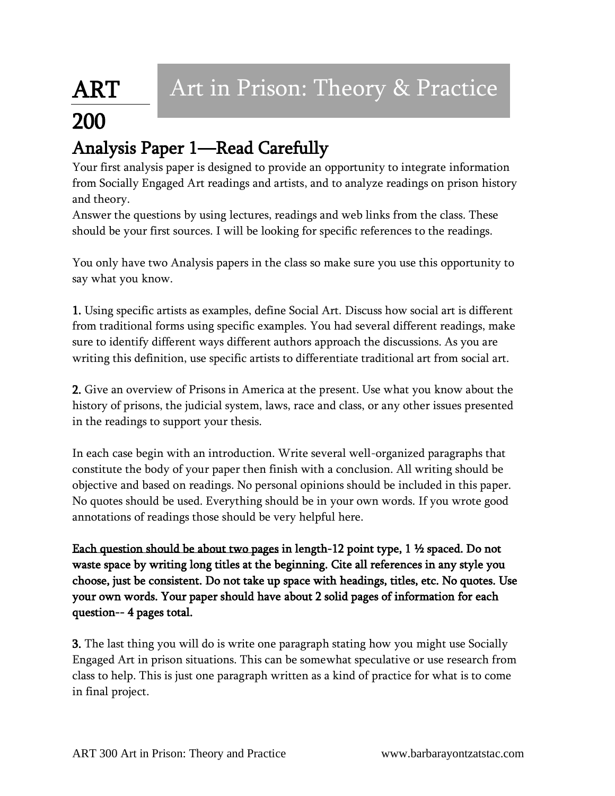## ART 200

## Analysis Paper 1—Read Carefully

Your first analysis paper is designed to provide an opportunity to integrate information from Socially Engaged Art readings and artists, and to analyze readings on prison history and theory.

Answer the questions by using lectures, readings and web links from the class. These should be your first sources. I will be looking for specific references to the readings.

You only have two Analysis papers in the class so make sure you use this opportunity to say what you know.

1. Using specific artists as examples, define Social Art. Discuss how social art is different from traditional forms using specific examples. You had several different readings, make sure to identify different ways different authors approach the discussions. As you are writing this definition, use specific artists to differentiate traditional art from social art.

2. Give an overview of Prisons in America at the present. Use what you know about the history of prisons, the judicial system, laws, race and class, or any other issues presented in the readings to support your thesis.

In each case begin with an introduction. Write several well-organized paragraphs that constitute the body of your paper then finish with a conclusion. All writing should be objective and based on readings. No personal opinions should be included in this paper. No quotes should be used. Everything should be in your own words. If you wrote good annotations of readings those should be very helpful here.

Each question should be about two pages in length-12 point type,  $1 \frac{1}{2}$  spaced. Do not waste space by writing long titles at the beginning. Cite all references in any style you choose, just be consistent. Do not take up space with headings, titles, etc. No quotes. Use your own words. Your paper should have about 2 solid pages of information for each question-- 4 pages total.

3. The last thing you will do is write one paragraph stating how you might use Socially Engaged Art in prison situations. This can be somewhat speculative or use research from class to help. This is just one paragraph written as a kind of practice for what is to come in final project.